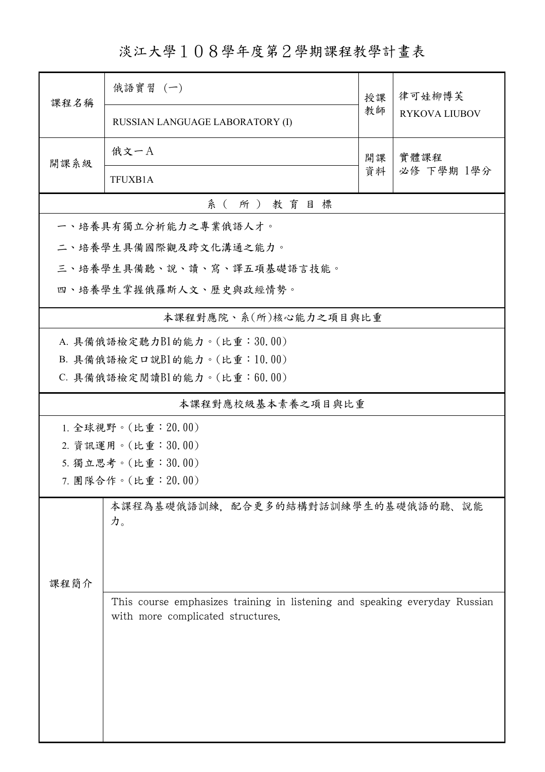淡江大學108學年度第2學期課程教學計畫表

| 課程名稱                        | 俄語實習 (一)                                                                                                        | 授課         | 律可娃柳博芙<br><b>RYKOVA LIUBOV</b> |  |  |  |  |  |
|-----------------------------|-----------------------------------------------------------------------------------------------------------------|------------|--------------------------------|--|--|--|--|--|
|                             | RUSSIAN LANGUAGE LABORATORY (I)                                                                                 | 教師         |                                |  |  |  |  |  |
| 開課系級                        | 俄文一A                                                                                                            | 實體課程<br>開課 |                                |  |  |  |  |  |
|                             | <b>TFUXB1A</b>                                                                                                  | 資料         | 必修 下學期 1學分                     |  |  |  |  |  |
| 系(所)教育目標                    |                                                                                                                 |            |                                |  |  |  |  |  |
| 一、培養具有獨立分析能力之專業俄語人才。        |                                                                                                                 |            |                                |  |  |  |  |  |
|                             | 二、培養學生具備國際觀及跨文化溝通之能力。                                                                                           |            |                                |  |  |  |  |  |
| 三、培養學生具備聽、說、讀、寫、譯五項基礎語言技能。  |                                                                                                                 |            |                                |  |  |  |  |  |
| 四、培養學生掌握俄羅斯人文、歷史與政經情勢。      |                                                                                                                 |            |                                |  |  |  |  |  |
| 本課程對應院、系(所)核心能力之項目與比重       |                                                                                                                 |            |                                |  |  |  |  |  |
| A. 具備俄語檢定聽力B1的能力。(比重:30.00) |                                                                                                                 |            |                                |  |  |  |  |  |
|                             | B. 具備俄語檢定口說B1的能力。(比重:10.00)                                                                                     |            |                                |  |  |  |  |  |
|                             | $C.$ 具備俄語檢定閱讀 $B1$ 的能力。(比重:60.00)                                                                               |            |                                |  |  |  |  |  |
| 本課程對應校級基本素養之項目與比重           |                                                                                                                 |            |                                |  |  |  |  |  |
|                             | 1. 全球視野。(比重: 20.00)                                                                                             |            |                                |  |  |  |  |  |
|                             | 2. 資訊運用。(比重:30.00)                                                                                              |            |                                |  |  |  |  |  |
|                             | 5. 獨立思考。(比重:30.00)                                                                                              |            |                                |  |  |  |  |  |
|                             | 7. 團隊合作。(比重:20.00)                                                                                              |            |                                |  |  |  |  |  |
|                             | 本課程為基礎俄語訓練,配合更多的結構對話訓練學生的基礎俄語的聽、說能<br>力。                                                                        |            |                                |  |  |  |  |  |
| 课程简介                        |                                                                                                                 |            |                                |  |  |  |  |  |
|                             | This course emphasizes training in listening and speaking everyday Russian<br>with more complicated structures. |            |                                |  |  |  |  |  |
|                             |                                                                                                                 |            |                                |  |  |  |  |  |
|                             |                                                                                                                 |            |                                |  |  |  |  |  |
|                             |                                                                                                                 |            |                                |  |  |  |  |  |
|                             |                                                                                                                 |            |                                |  |  |  |  |  |
|                             |                                                                                                                 |            |                                |  |  |  |  |  |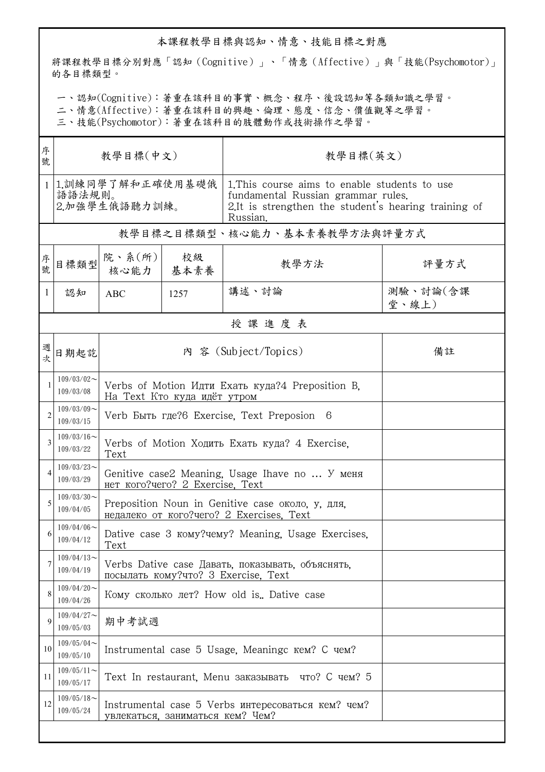## 本課程教學目標與認知、情意、技能目標之對應

將課程教學目標分別對應「認知 (Cognitive)」、「情意 (Affective)」與「技能(Psychomotor)」 的各目標類型。

一、認知(Cognitive):著重在該科目的事實、概念、程序、後設認知等各類知識之學習。

二、情意(Affective):著重在該科目的興趣、倫理、態度、信念、價值觀等之學習。

三、技能(Psychomotor):著重在該科目的肢體動作或技術操作之學習。

| 序<br>號         | 教學目標(中文)                                    |                                                                                              |                                                 | 教學目標(英文)                                                                                                                                                |                   |  |  |  |
|----------------|---------------------------------------------|----------------------------------------------------------------------------------------------|-------------------------------------------------|---------------------------------------------------------------------------------------------------------------------------------------------------------|-------------------|--|--|--|
|                | 1.訓練同學了解和正確使用基礎俄<br>語語法規則。<br>2.加強學生俄語聽力訓練。 |                                                                                              |                                                 | 1. This course aims to enable students to use<br>fundamental Russian grammar rules.<br>2.It is strengthen the student's hearing training of<br>Russian. |                   |  |  |  |
|                | 教學目標之目標類型、核心能力、基本素養教學方法與評量方式                |                                                                                              |                                                 |                                                                                                                                                         |                   |  |  |  |
| 序號             | 目標類型                                        | 院、系(所)<br>核心能力   基本素養                                                                        | 校級                                              | 教學方法                                                                                                                                                    | 評量方式              |  |  |  |
| 1              | 認知                                          | <b>ABC</b>                                                                                   | 1257                                            | 講述、討論                                                                                                                                                   | 測驗、討論(含課<br>堂、線上) |  |  |  |
|                | 授課進度表                                       |                                                                                              |                                                 |                                                                                                                                                         |                   |  |  |  |
| 週              | 日期起訖                                        | 內 容 (Subject/Topics)<br>備註                                                                   |                                                 |                                                                                                                                                         |                   |  |  |  |
|                | $109/03/02$ ~<br>109/03/08                  | Verbs of Motion Идти Ехать куда?4 Preposition B.<br>На Text Кто куда идёт утром              |                                                 |                                                                                                                                                         |                   |  |  |  |
| $\overline{2}$ | $109/03/09$ ~<br>109/03/15                  | Verb Быть где?6 Exercise, Text Preposion 6                                                   |                                                 |                                                                                                                                                         |                   |  |  |  |
| 3              | $109/03/16$ ~<br>109/03/22                  | Verbs of Motion Ходить Ехать куда? 4 Exercise.<br>Text                                       |                                                 |                                                                                                                                                         |                   |  |  |  |
|                | $109/03/23$ ~<br>109/03/29                  | Genitive case2 Meaning, Usage Ihave no  У меня<br>Het KOFO? uero? 2 Exercise, Text           |                                                 |                                                                                                                                                         |                   |  |  |  |
| 5              | $109/03/30$ ~<br>109/04/05                  | Preposition Noun in Genitive case около, у, для,<br>недалеко от кого?чего? 2 Exercises. Text |                                                 |                                                                                                                                                         |                   |  |  |  |
| 6              | $109/04/06 \sim$<br>109/04/12               | Dative case 3 KOMY? Wearling, Usage Exercises.<br>Text                                       |                                                 |                                                                                                                                                         |                   |  |  |  |
| 7              | $109/04/13$ ~<br>109/04/19                  | Verbs Dative case Давать, показывать, объяснять,<br>посылать кому?что? 3 Exercise, Text      |                                                 |                                                                                                                                                         |                   |  |  |  |
| 8              | $109/04/20$ ~<br>109/04/26                  | Кому сколько лет? How old is. Dative case                                                    |                                                 |                                                                                                                                                         |                   |  |  |  |
| 9              | $109/04/27$ ~<br>109/05/03                  | 期中考試週                                                                                        |                                                 |                                                                                                                                                         |                   |  |  |  |
| 10             | $109/05/04$ ~<br>109/05/10                  |                                                                                              | Instrumental case 5 Usage, Meaningc кем? С чем? |                                                                                                                                                         |                   |  |  |  |
| 11             | $109/05/11$ ~<br>109/05/17                  | Text In restaurant, Menu заказывать что? С чем? 5                                            |                                                 |                                                                                                                                                         |                   |  |  |  |
| 12             | $109/05/18$ ~<br>109/05/24                  | Instrumental case 5 Verbs интересоваться кем? чем?<br>увлекаться, заниматься кем? Чем?       |                                                 |                                                                                                                                                         |                   |  |  |  |
|                |                                             |                                                                                              |                                                 |                                                                                                                                                         |                   |  |  |  |